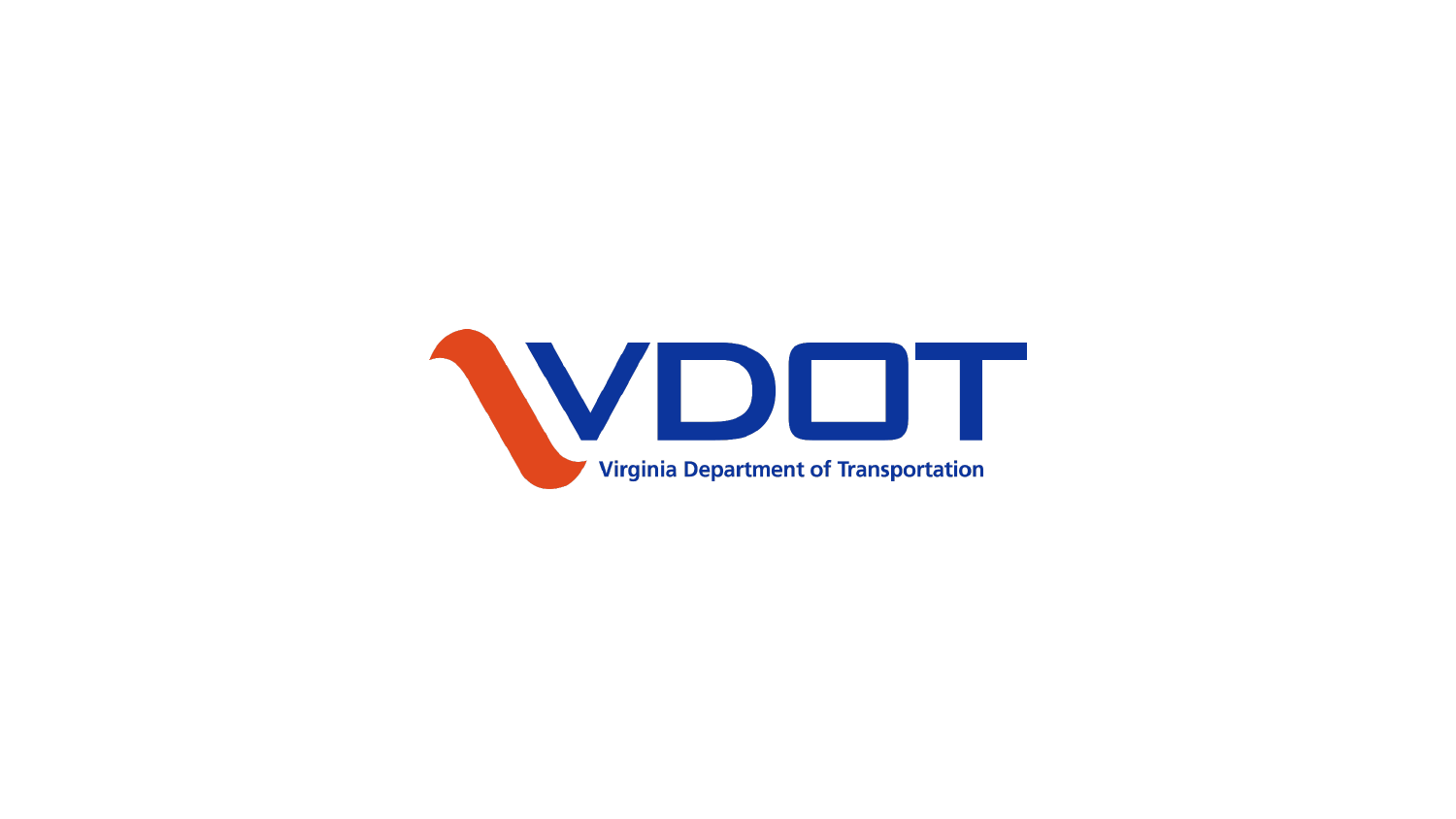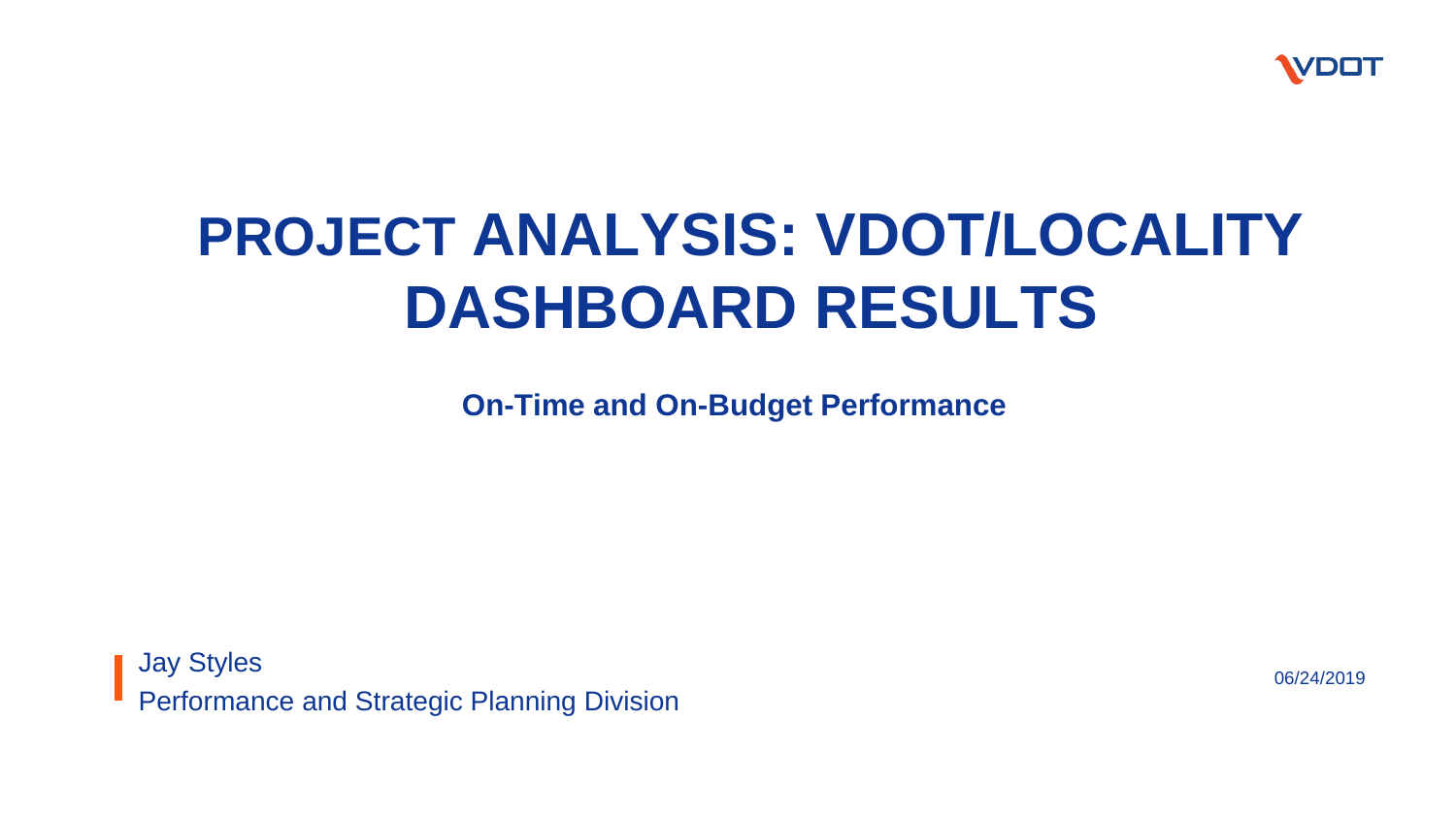

# **PROJECT ANALYSIS: VDOT/LOCALITY DASHBOARD RESULTS**

**On-Time and On-Budget Performance**

Jay Styles Performance and Strategic Planning Division

06/24/2019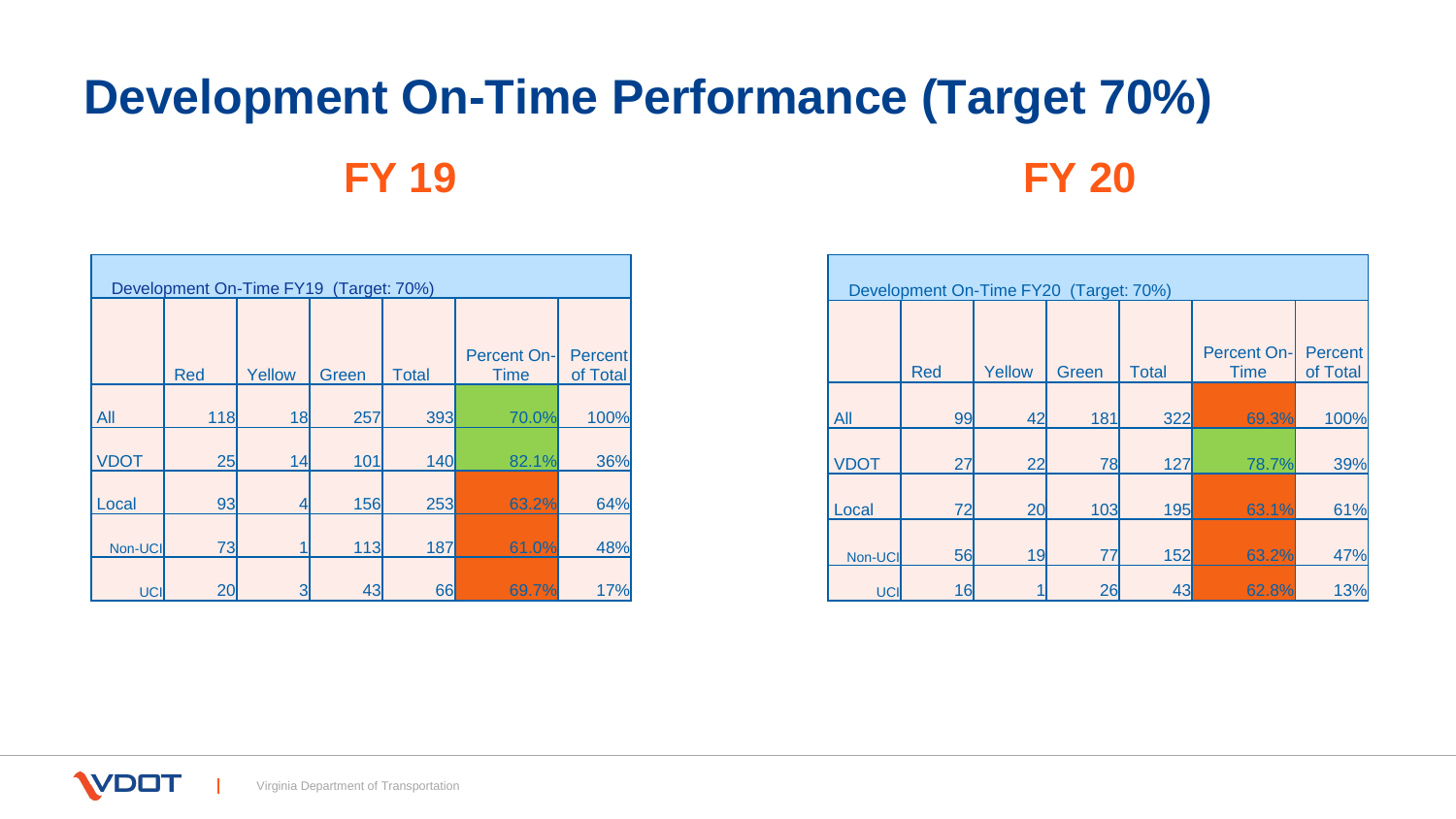# **Development On-Time Performance (Target 70%) FY 19 FY 20**

| Development On-Time FY19 (Target: 70%) |            |        |       |              |                                   |                            |  |  |  |  |  |  |
|----------------------------------------|------------|--------|-------|--------------|-----------------------------------|----------------------------|--|--|--|--|--|--|
|                                        | <b>Red</b> | Yellow | Green | <b>Total</b> | <b>Percent On-</b><br><b>Time</b> | <b>Percent</b><br>of Total |  |  |  |  |  |  |
| All                                    | 118        | 18     | 257   | 393          | 70.0%                             | 100%                       |  |  |  |  |  |  |
| <b>VDOT</b>                            | 25         | 14     | 101   | 140          | 82.1%                             | 36%                        |  |  |  |  |  |  |
| Local                                  | 93         | 4      | 156   | 253          | 63.2%                             | 64%                        |  |  |  |  |  |  |
| Non-UCI                                | 73         |        | 113   | 187          | 61.0%                             | 48%                        |  |  |  |  |  |  |
| <b>UCI</b>                             | 20         | 3      | 43    | 66           | 69.7%                             | 17%                        |  |  |  |  |  |  |

|             | Development On-Time FY20 (Target: 70%)                                                                           |    |     |     |       |      |  |  |  |  |  |  |
|-------------|------------------------------------------------------------------------------------------------------------------|----|-----|-----|-------|------|--|--|--|--|--|--|
|             | <b>Percent On-</b><br><b>Percent</b><br>Yellow<br><b>Total</b><br>of Total<br><b>Red</b><br>Green<br><b>Time</b> |    |     |     |       |      |  |  |  |  |  |  |
| All         | 99                                                                                                               | 42 | 181 | 322 | 69.3% | 100% |  |  |  |  |  |  |
| <b>VDOT</b> | 27                                                                                                               | 22 | 78  | 127 | 78.7% | 39%  |  |  |  |  |  |  |
| Local       | 72                                                                                                               | 20 | 103 | 195 | 63.1% | 61%  |  |  |  |  |  |  |
| Non-UCI     | 56                                                                                                               | 19 | 77  | 152 | 63.2% | 47%  |  |  |  |  |  |  |
| <b>UCI</b>  | 16                                                                                                               |    | 26  | 43  | 62.8% | 13%  |  |  |  |  |  |  |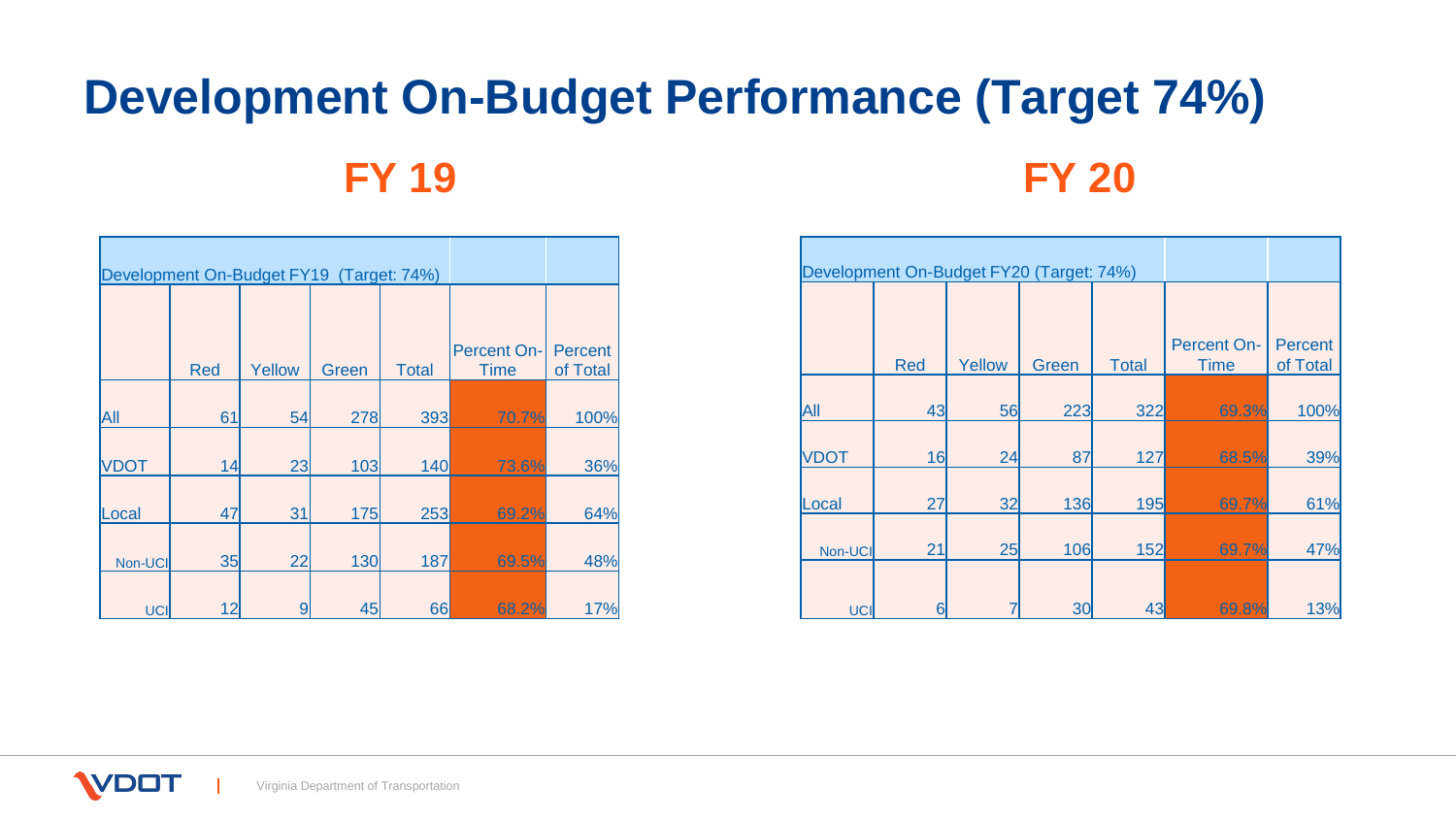# **Development On-Budget Performance (Target 74%) FY 19 FY 20**

|             |            | Development On-Budget FY19 (Target: 74%) |       |              |                                   |                     |
|-------------|------------|------------------------------------------|-------|--------------|-----------------------------------|---------------------|
|             | <b>Red</b> | Yellow                                   | Green | <b>Total</b> | <b>Percent On-</b><br><b>Time</b> | Percent<br>of Total |
| All         | 61         | 54                                       | 278   | 393          | 70.7%                             | 100%                |
| <b>VDOT</b> | 14         | 23                                       | 103   | 140          | 73.6%                             | 36%                 |
| Local       | 47         | 31                                       | 175   | 253          | 69.2%                             | 64%                 |
| Non-UCI     | 35         | 22                                       | 130   | 187          | 69.5%                             | 48%                 |
| <b>UCI</b>  | 12         | 9                                        | 45    | 66           | 68.2%                             | 17%                 |

| Development On-Budget FY20 (Target: 74%) |     |        |       |              |                                   |                            |
|------------------------------------------|-----|--------|-------|--------------|-----------------------------------|----------------------------|
|                                          | Red | Yellow | Green | <b>Total</b> | <b>Percent On-</b><br><b>Time</b> | <b>Percent</b><br>of Total |
| All                                      | 43  | 56     | 223   | 322          | 69.3%                             | 100%                       |
| <b>VDOT</b>                              | 16  | 24     | 87    | 127          | 68.5%                             | 39%                        |
| Local                                    | 27  | 32     | 136   | 195          | 69.7%                             | 61%                        |
| Non-UCI                                  | 21  | 25     | 106   | 152          | 69.7%                             | 47%                        |
| UCI                                      | 6   |        | 30    | 43           | 69.8%                             | 13%                        |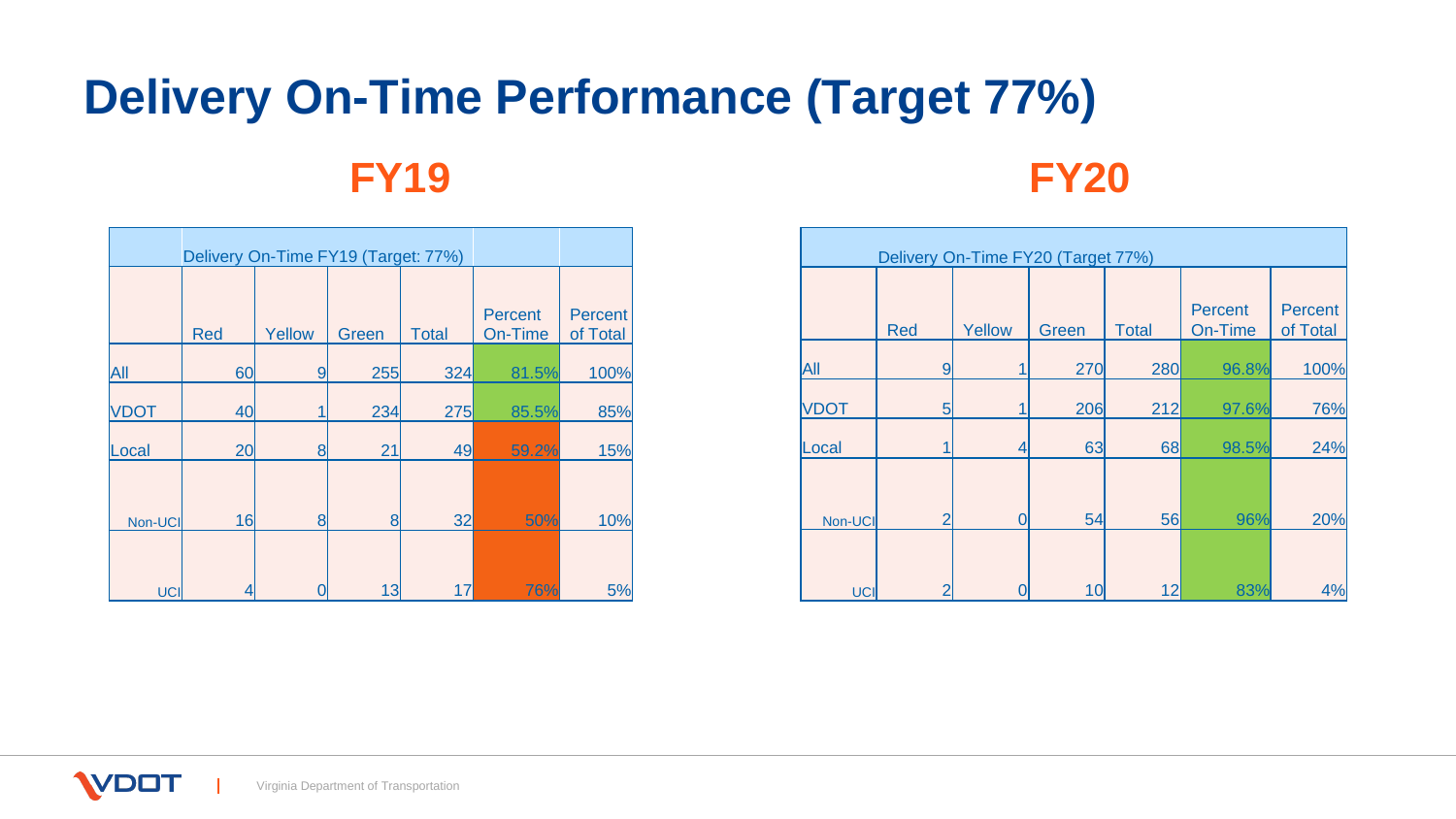## **Delivery On-Time Performance (Target 77%) FY19 FY20**

|             | Delivery On-Time FY19 (Target: 77%) |        |       |              |                           |                     |
|-------------|-------------------------------------|--------|-------|--------------|---------------------------|---------------------|
|             | <b>Red</b>                          | Yellow | Green | <b>Total</b> | <b>Percent</b><br>On-Time | Percent<br>of Total |
| All         | 60                                  | 9      | 255   | 324          | 81.5%                     | 100%                |
| <b>VDOT</b> | 40                                  |        | 234   | 275          | 85.5%                     | 85%                 |
| Local       | 20                                  | 8      | 21    | 49           | 59.2%                     | 15%                 |
| Non-UCI     | 16                                  | 8      | 8     | 32           | 50%                       | 10%                 |
| <b>UCI</b>  | 4                                   |        | 13    | 17           | 76%                       | 5%                  |

|             | Delivery On-Time FY20 (Target 77%) |        |       |              |                           |                            |  |  |  |  |  |  |  |
|-------------|------------------------------------|--------|-------|--------------|---------------------------|----------------------------|--|--|--|--|--|--|--|
|             | <b>Red</b>                         | Yellow | Green | <b>Total</b> | <b>Percent</b><br>On-Time | <b>Percent</b><br>of Total |  |  |  |  |  |  |  |
| All         | 9                                  |        | 270   | 280          | 96.8%                     | 100%                       |  |  |  |  |  |  |  |
| <b>VDOT</b> | 5 <sup>5</sup>                     |        | 206   | 212          | 97.6%                     | 76%                        |  |  |  |  |  |  |  |
| Local       |                                    | 4      | 63    | 68           | 98.5%                     | 24%                        |  |  |  |  |  |  |  |
| Non-UCI     | $\overline{2}$                     | 0      | 54    | 56           | 96%                       | 20%                        |  |  |  |  |  |  |  |
| UCI         | $\overline{2}$                     |        | 10    | 12           | 83%                       | 4%                         |  |  |  |  |  |  |  |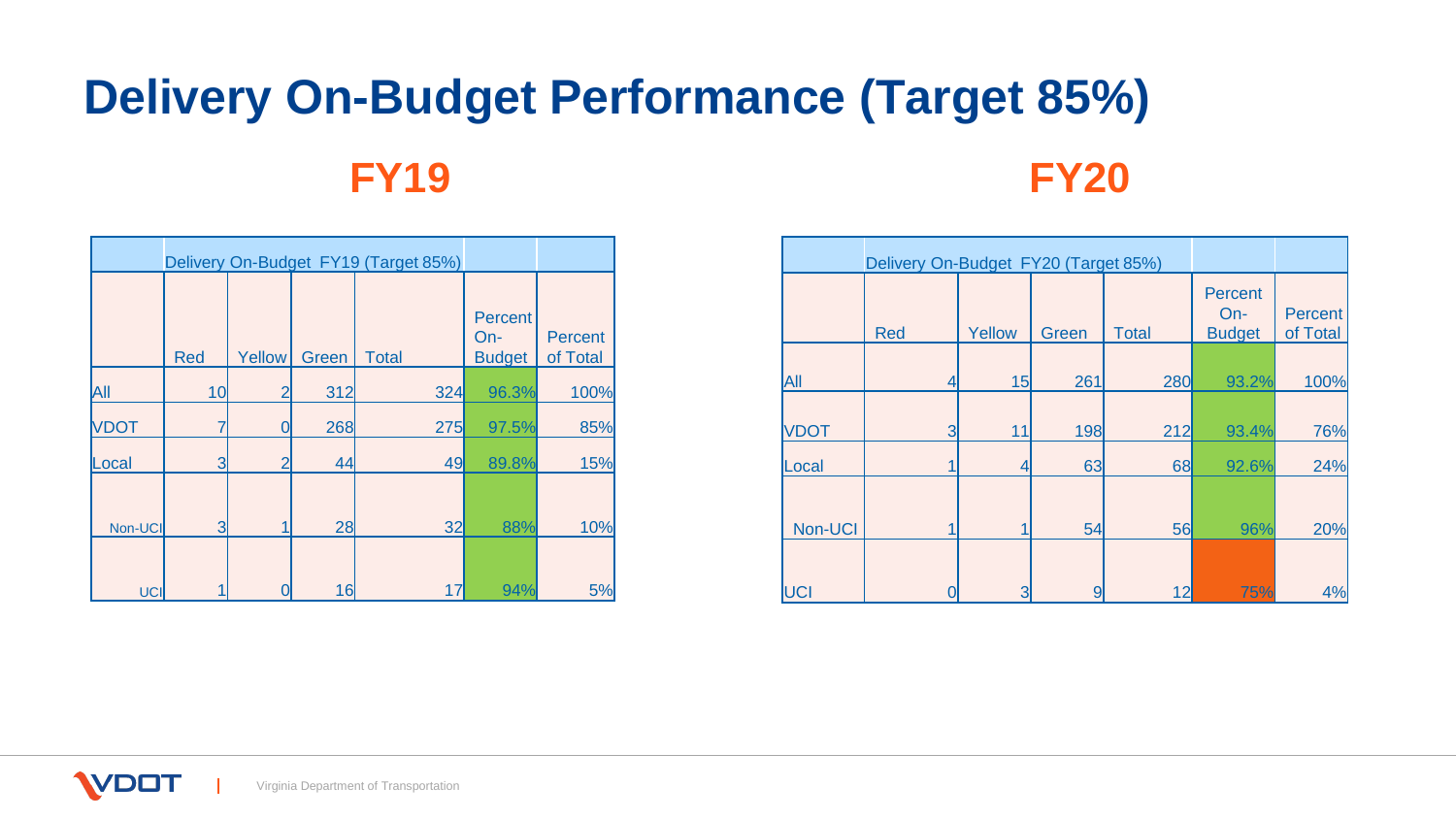# **Delivery On-Budget Performance (Target 85%) FY19 FY20**

|             |                |        |       | Delivery On-Budget FY19 (Target 85%) |                                        |                            |
|-------------|----------------|--------|-------|--------------------------------------|----------------------------------------|----------------------------|
|             | <b>Red</b>     | Yellow | Green | <b>Total</b>                         | <b>Percent</b><br>On-<br><b>Budget</b> | <b>Percent</b><br>of Total |
| All         | 10             |        | 312   | 324                                  | 96.3%                                  | 100%                       |
| <b>VDOT</b> |                | Ω      | 268   | 275                                  | 97.5%                                  | 85%                        |
| Local       | 3              |        | 44    | 49                                   | 89.8%                                  | 15%                        |
| Non-UCI     | $\overline{3}$ |        | 28    | 32                                   | 88%                                    | 10%                        |
| UCI         |                |        | 16    | 17                                   | 94%                                    | 5%                         |

|             | Delivery On-Budget FY20 (Target 85%) |        |       |              |                                          |                            |
|-------------|--------------------------------------|--------|-------|--------------|------------------------------------------|----------------------------|
|             | Red                                  | Yellow | Green | <b>Total</b> | <b>Percent</b><br>$On-$<br><b>Budget</b> | <b>Percent</b><br>of Total |
| All         | 4                                    | 15     | 261   | 280          | 93.2%                                    | 100%                       |
| <b>VDOT</b> | 3                                    | 11     | 198   | 212          | 93.4%                                    | 76%                        |
| Local       |                                      | 4      | 63    | 68           | 92.6%                                    | 24%                        |
| Non-UCI     | 1                                    |        | 54    | 56           | 96%                                      | 20%                        |
| <b>UCI</b>  |                                      | 3      | 9     | 12           | 75%                                      | 4%                         |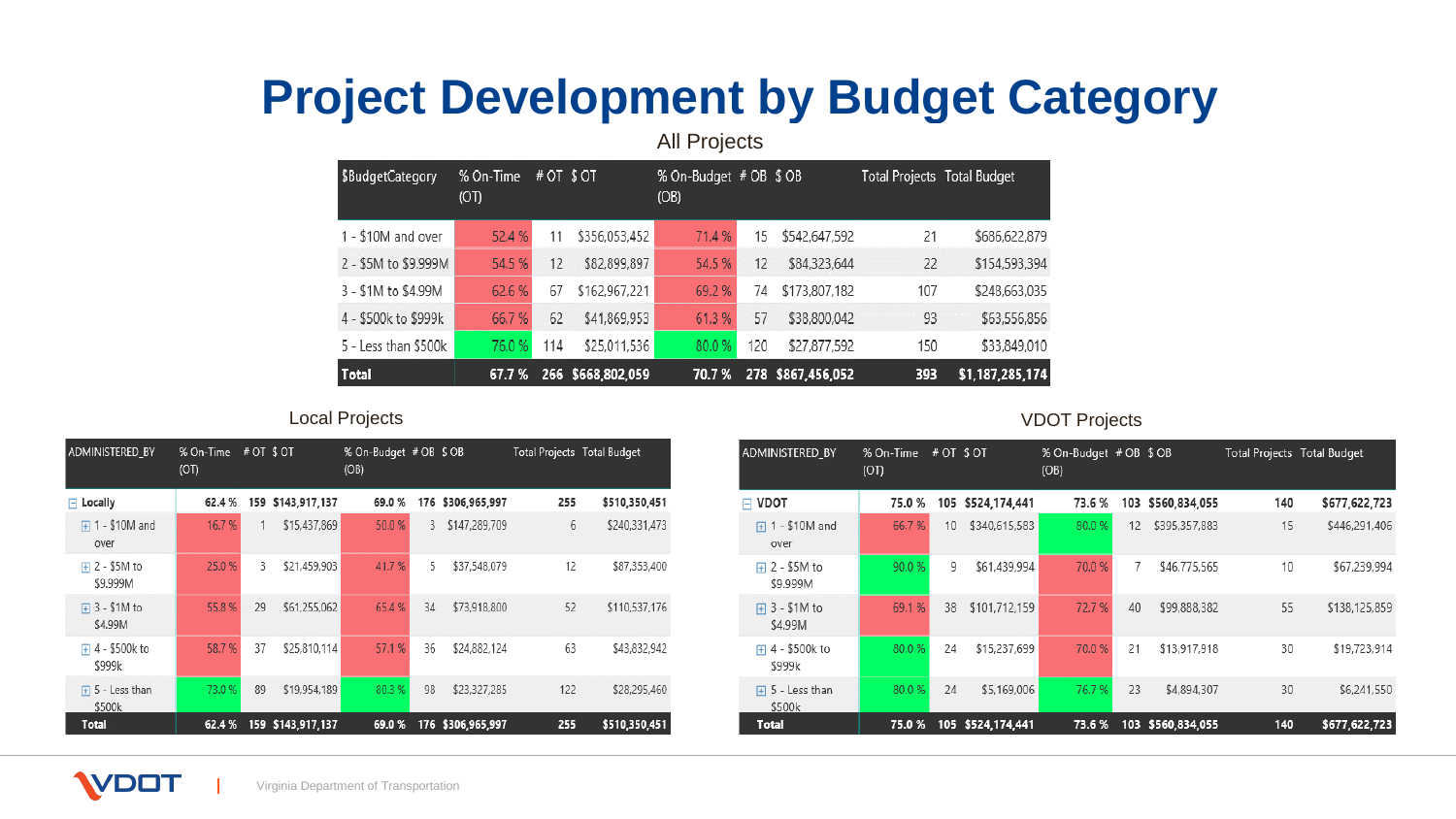### **Project Development by Budget Category**

All Projects

| \$BudgetCategory     | % On-Time<br>(OT) | # OT \$ OT |                   | % On-Budget # OB \$ OB<br>(OB) |     |                   | Total Projects Total Budget |                 |
|----------------------|-------------------|------------|-------------------|--------------------------------|-----|-------------------|-----------------------------|-----------------|
| 1 - \$10M and over   | 52.4%             | 11         | \$356,053,452     | 71.4 %                         | 15  | \$542,647,592     | 21                          | \$686,622,879   |
| 2 - \$5M to \$9.999M | 54.5%             | 12         | \$82,899,897      | 54.5 %                         | 12  | \$84,323,644      | 22                          | \$154,593,394   |
| 3 - \$1M to \$4.99M  | 62.6 %            | 67         | \$162,967,221     | 69.2%                          | 74  | \$173,807,182     | 107                         | \$248,663,035   |
| 4 - \$500k to \$999k | 66.7%             | 62         | \$41,869,953      | 61.3 %                         | 57  | \$38,800,042      | 93                          | \$63,556,856    |
| 5 - Less than \$500k | 76.0%             | 114        | \$25,011,536      | 80.0%                          | 120 | \$27,877,592      | 150                         | \$33,849,010    |
| Total                | 67.7 %            |            | 266 \$668,802,059 | 70.7%                          |     | 278 \$867,456,052 | 393                         | \$1,187,285,174 |

### Local Projects VDOT Projects

| ADMINISTERED BY                | % On-Time<br>(OT) | # OT \$ OT |                   | % On-Budget # OB \$ OB<br>(OB) |    |                   | Total Projects Total Budget |               |
|--------------------------------|-------------------|------------|-------------------|--------------------------------|----|-------------------|-----------------------------|---------------|
| $\Box$ Locally                 | 62.4%             |            | 159 \$143,917,137 | 69.0%                          |    | 176 \$306,965,997 | 255                         | \$510,350,451 |
| $\Box$ 1 - \$10M and<br>over   | 16.7%             |            | \$15,437,869      | 50.0%                          | 3  | \$147,289,709     | 6                           | \$240,331,473 |
| $\Box$ 2 - \$5M to<br>\$9.999M | 25.0%             | 3          | \$21,459,903      | 41.7%                          | 5  | \$37,548,079      | 12                          | \$87,353,400  |
| $\Box$ 3 - \$1M to<br>\$4.99M  | 55.8%             | 29         | \$61,255,062      | 65.4 %                         | 34 | \$73,918,800      | 52                          | \$110,537,176 |
| 4 - \$500k to<br>Ŧ<br>\$999k   | 58.7%             | 37         | \$25,810,114      | 57.1 %                         | 36 | \$24,882,124      | 63                          | \$43,832,942  |
| 5 - Less than<br>曱<br>\$500k   | 73.0 %            | 89         | \$19,954,189      | 80.3%                          | 98 | \$23,327,285      | 122                         | \$28,295,460  |
| Total                          | 62.4%             |            | 159 \$143,917,137 | 69.0%                          |    | 176 \$306,965,997 | 255                         | \$510,350,451 |

| ADMINISTERED_BY              | % On-Time<br>(OT) | # OT \$ OT |                   | % On-Budget # OB \$ OB<br>(OB) |    |                   | Total Projects Total Budget |               |
|------------------------------|-------------------|------------|-------------------|--------------------------------|----|-------------------|-----------------------------|---------------|
| $\Box$ VDOT                  | 75.0%             |            | 105 \$524,174,441 | 73.6%                          |    | 103 \$560,834,055 | 140                         | \$677,622,723 |
| 1 - \$10M and<br>田<br>over   | 66.7%             | 10         | \$340,615,583     | 80.0%                          | 12 | \$395,357,883     | 15                          | \$446,291,406 |
| 2 - \$5M to<br>田<br>\$9.999M | 90.0%             | 9          | \$61,439,994      | 70.0%                          | 7  | \$46,775,565      | 10                          | \$67,239,994  |
| 3 - \$1M to<br>田<br>\$4.99M  | 69.1%             | 38         | \$101,712,159     | 72.7 %                         | 40 | \$99,888,382      | 55                          | \$138,125,859 |
| 4 - \$500k to<br>Ŧ<br>\$999k | 80.0%             | 24         | \$15,237,699      | 70.0%                          | 21 | \$13,917,918      | 30                          | \$19,723,914  |
| 5 - Less than<br>田<br>\$500k | 80.0%             | 24         | \$5,169,006       | 76.7%                          | 23 | \$4,894,307       | 30                          | \$6,241,550   |
| Total                        | 75.0%             |            | 105 \$524,174,441 | 73.6%                          |    | 103 \$560,834,055 | 140                         | \$677,622,723 |

**VDOT**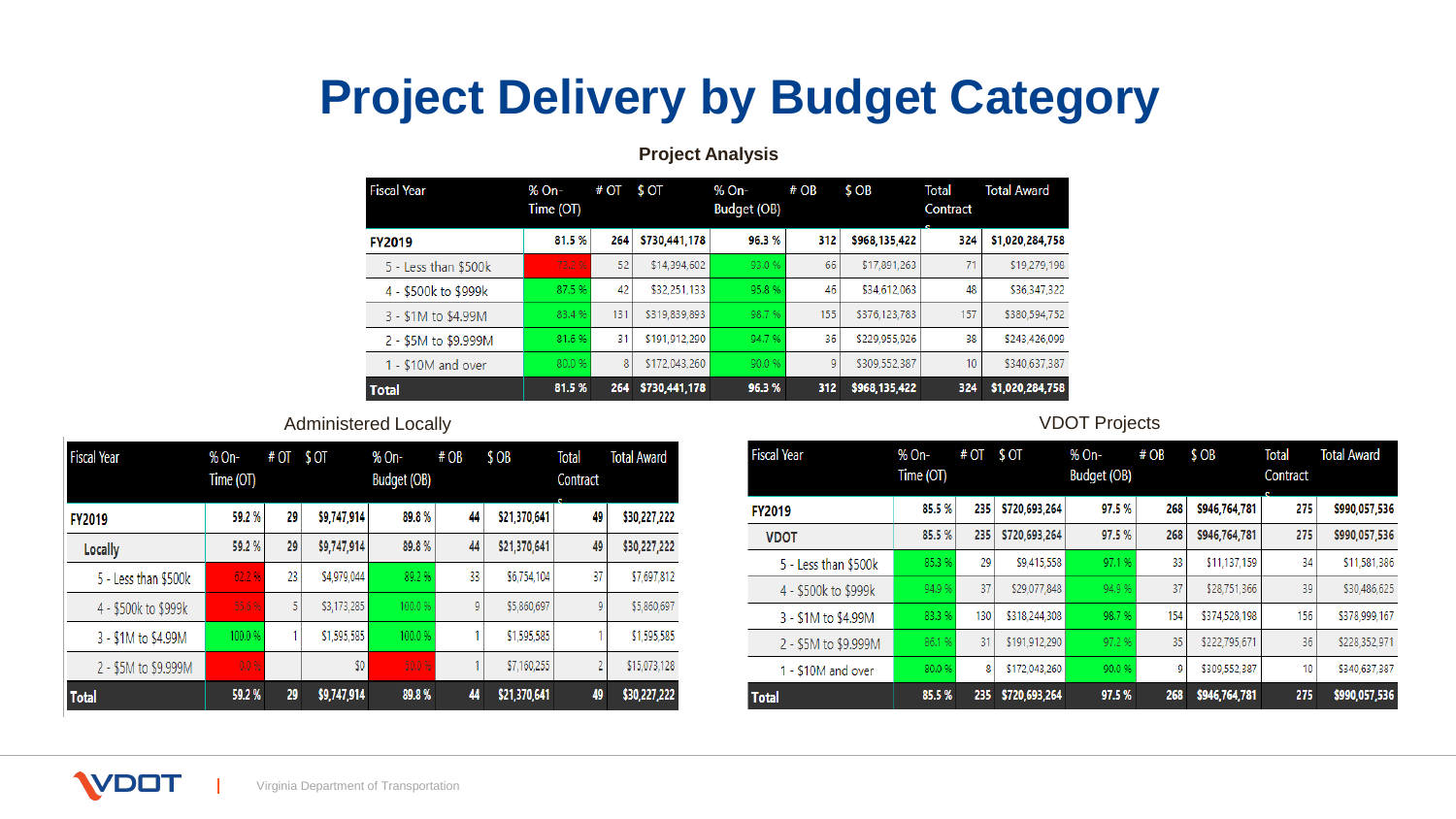## **Project Delivery by Budget Category**

### **Project Analysis**

| <b>Fiscal Year</b>   | % On-<br>Time (OT) | # OT | \$ OT         | % On-<br><b>Budget (OB)</b> | # OB | \$ OB         | <b>Total</b><br>Contract | <b>Total Award</b> |
|----------------------|--------------------|------|---------------|-----------------------------|------|---------------|--------------------------|--------------------|
| <b>FY2019</b>        | 81.5%              | 264  | \$730,441,178 | 96.3%                       | 312  | \$968,135,422 | 324                      | \$1,020,284,758    |
| 5 - Less than \$500k | 73.2%              | 52   | \$14,394,602  | 93.0%                       | 66   | \$17,891,263  | 71                       | \$19,279,198       |
| 4 - \$500k to \$999k | 87.5%              | 42   | \$32,251,133  | 95.8%                       | 46   | \$34,612,063  | 48                       | \$36,347,322       |
| 3 - \$1M to \$4.99M  | 83.4%              | 131  | \$319,839,893 | 98.7%                       | 155  | \$376,123,783 | 157                      | \$380,594,752      |
| 2 - \$5M to \$9.999M | 81.6%              | 31   | \$191.912.290 | 94.7%                       | 36   | \$229,955.926 | 38                       | \$243,426,099      |
| 1 - \$10M and over   | 80.0%              | 8    | \$172,043,260 | 90.0%                       | 9    | \$309,552,387 | 10 <sup>°</sup>          | \$340,637,387      |
| <b>Total</b>         | 81.5%              | 264  | \$730,441,178 | 96.3%                       | 312  | \$968,135,422 | 324                      | \$1,020,284,758    |

### Administered Locally **Administered** Locally **VDOT** Projects

| <b>Fiscal Year</b>   | % On-<br>Time (OT) | # OT | \$ OT       | % On-<br>Budget (OB) | # OB | \$OB         | <b>Total</b><br>Contract | <b>Total Award</b> |
|----------------------|--------------------|------|-------------|----------------------|------|--------------|--------------------------|--------------------|
| <b>FY2019</b>        | 59.2%              | 29   | \$9,747,914 | 89.8%                | 44   | \$21,370,641 | 49                       | \$30,227,222       |
| <b>Locally</b>       | 59.2%              | 29   | \$9,747,914 | 89.8%                | 44   | \$21,370,641 | 49                       | \$30,227,222       |
| 5 - Less than \$500k | 62.2%              | 23   | \$4,979,044 | 89.2%                | 33   | \$6,754,104  | 37                       | \$7,697,812        |
| 4 - \$500k to \$999k | 55.6%              | 5    | \$3,173,285 | 100.0%               | 9    | \$5,860,697  | 9                        | \$5,860,697        |
| 3 - \$1M to \$4.99M  | 100.0 %            |      | \$1,595,585 | 100.0%               |      | \$1,595,585  |                          | \$1,595,585        |
| 2 - \$5M to \$9.999M | 0.0%               |      | \$0         | 50.0%                |      | \$7,160,255  | 2                        | \$15,073,128       |
| <b>Total</b>         | 59.2%              | 29   | \$9,747,914 | 89.8%                | 44   | \$21,370,641 | 49                       | \$30,227,222       |

| <b>Fiscal Year</b>   | % On-     | # OT | \$0 <sub>T</sub> | % On-       | # OB | \$OB          | <b>Total</b> | <b>Total Award</b> |
|----------------------|-----------|------|------------------|-------------|------|---------------|--------------|--------------------|
|                      | Time (OT) |      |                  | Budget (OB) |      |               | Contract     |                    |
| <b>FY2019</b>        | 85.5%     | 235  | \$720,693,264    | 97.5%       | 268  | \$946,764,781 | 275          | \$990,057,536      |
| <b>VDOT</b>          | 85.5%     | 235  | \$720,693,264    | 97.5%       | 268  | \$946,764,781 | 275          | \$990,057,536      |
| 5 - Less than \$500k | 85.3%     | 29   | \$9,415,558      | 97.1%       | 33   | \$11,137,159  | 34           | \$11,581,386       |
| 4 - \$500k to \$999k | 94.9%     | 37   | \$29,077,848     | 94.9%       | 37   | \$28,751,366  | 39           | \$30,486,625       |
| 3 - \$1M to \$4.99M  | 83.3%     | 130  | \$318,244,308    | 98.7%       | 154  | \$374,528,198 | 156          | \$378,999,167      |
| 2 - \$5M to \$9.999M | 86.1%     | 31   | \$191,912,290    | 97.2%       | 35   | \$222,795,671 | 36           | \$228,352,971      |
| 1 - \$10M and over   | 80.0 %    | 8    | \$172,043,260    | 90.0%       | 9    | \$309,552,387 | 10           | \$340,637,387      |
| <b>Total</b>         | 85.5%     | 235  | \$720,693,264    | 97.5%       | 268  | \$946,764,781 | 275          | \$990,057,536      |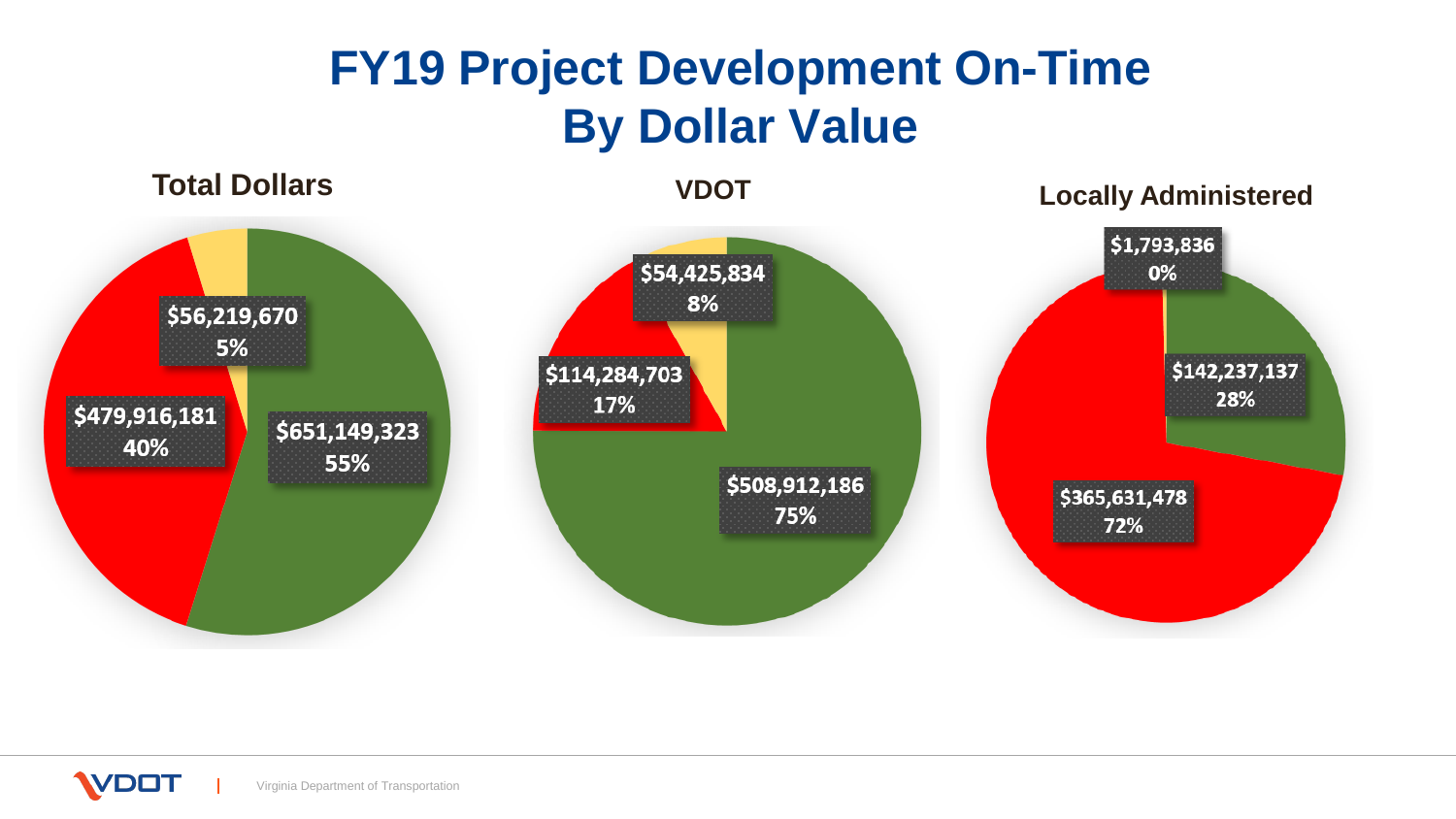## **FY19 Project Development On-Time By Dollar Value**